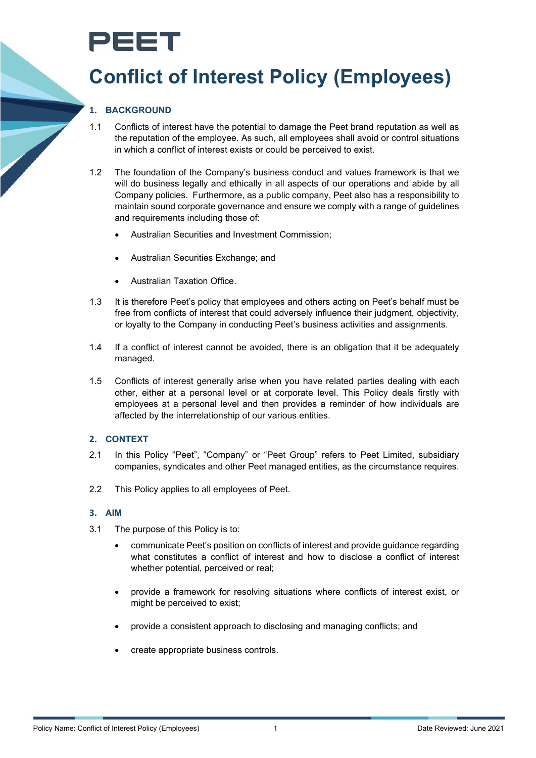# PEET

### **Conflict of Interest Policy (Employees)**

#### **1. BACKGROUND**

- 1.1 Conflicts of interest have the potential to damage the Peet brand reputation as well as the reputation of the employee. As such, all employees shall avoid or control situations in which a conflict of interest exists or could be perceived to exist.
- 1.2 The foundation of the Company's business conduct and values framework is that we will do business legally and ethically in all aspects of our operations and abide by all Company policies. Furthermore, as a public company, Peet also has a responsibility to maintain sound corporate governance and ensure we comply with a range of guidelines and requirements including those of:
	- Australian Securities and Investment Commission;
	- Australian Securities Exchange; and
	- Australian Taxation Office.
- 1.3 It is therefore Peet's policy that employees and others acting on Peet's behalf must be free from conflicts of interest that could adversely influence their judgment, objectivity, or loyalty to the Company in conducting Peet's business activities and assignments.
- 1.4 If a conflict of interest cannot be avoided, there is an obligation that it be adequately managed.
- 1.5 Conflicts of interest generally arise when you have related parties dealing with each other, either at a personal level or at corporate level. This Policy deals firstly with employees at a personal level and then provides a reminder of how individuals are affected by the interrelationship of our various entities.

#### **2. CONTEXT**

- 2.1 In this Policy "Peet", "Company" or "Peet Group" refers to Peet Limited, subsidiary companies, syndicates and other Peet managed entities, as the circumstance requires.
- 2.2 This Policy applies to all employees of Peet.

#### **3. AIM**

- 3.1 The purpose of this Policy is to:
	- communicate Peet's position on conflicts of interest and provide guidance regarding what constitutes a conflict of interest and how to disclose a conflict of interest whether potential, perceived or real;
	- provide a framework for resolving situations where conflicts of interest exist, or might be perceived to exist;
	- provide a consistent approach to disclosing and managing conflicts; and
	- create appropriate business controls.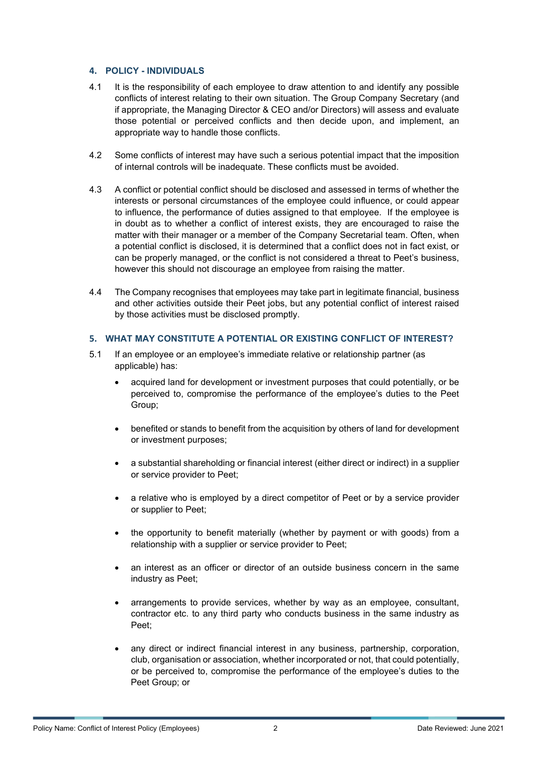#### **4. POLICY - INDIVIDUALS**

- 4.1 It is the responsibility of each employee to draw attention to and identify any possible conflicts of interest relating to their own situation. The Group Company Secretary (and if appropriate, the Managing Director & CEO and/or Directors) will assess and evaluate those potential or perceived conflicts and then decide upon, and implement, an appropriate way to handle those conflicts.
- 4.2 Some conflicts of interest may have such a serious potential impact that the imposition of internal controls will be inadequate. These conflicts must be avoided.
- 4.3 A conflict or potential conflict should be disclosed and assessed in terms of whether the interests or personal circumstances of the employee could influence, or could appear to influence, the performance of duties assigned to that employee. If the employee is in doubt as to whether a conflict of interest exists, they are encouraged to raise the matter with their manager or a member of the Company Secretarial team. Often, when a potential conflict is disclosed, it is determined that a conflict does not in fact exist, or can be properly managed, or the conflict is not considered a threat to Peet's business, however this should not discourage an employee from raising the matter.
- 4.4 The Company recognises that employees may take part in legitimate financial, business and other activities outside their Peet jobs, but any potential conflict of interest raised by those activities must be disclosed promptly.

#### **5. WHAT MAY CONSTITUTE A POTENTIAL OR EXISTING CONFLICT OF INTEREST?**

- 5.1 If an employee or an employee's immediate relative or relationship partner (as applicable) has:
	- acquired land for development or investment purposes that could potentially, or be perceived to, compromise the performance of the employee's duties to the Peet Group;
	- benefited or stands to benefit from the acquisition by others of land for development or investment purposes;
	- a substantial shareholding or financial interest (either direct or indirect) in a supplier or service provider to Peet;
	- a relative who is employed by a direct competitor of Peet or by a service provider or supplier to Peet;
	- the opportunity to benefit materially (whether by payment or with goods) from a relationship with a supplier or service provider to Peet;
	- an interest as an officer or director of an outside business concern in the same industry as Peet;
	- arrangements to provide services, whether by way as an employee, consultant, contractor etc. to any third party who conducts business in the same industry as Peet;
	- any direct or indirect financial interest in any business, partnership, corporation, club, organisation or association, whether incorporated or not, that could potentially, or be perceived to, compromise the performance of the employee's duties to the Peet Group; or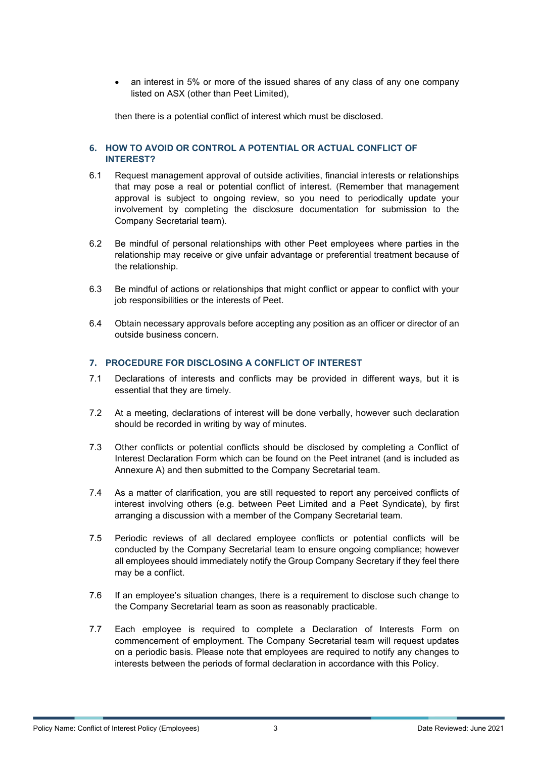• an interest in 5% or more of the issued shares of any class of any one company listed on ASX (other than Peet Limited),

then there is a potential conflict of interest which must be disclosed.

#### **6. HOW TO AVOID OR CONTROL A POTENTIAL OR ACTUAL CONFLICT OF INTEREST?**

- 6.1 Request management approval of outside activities, financial interests or relationships that may pose a real or potential conflict of interest. (Remember that management approval is subject to ongoing review, so you need to periodically update your involvement by completing the disclosure documentation for submission to the Company Secretarial team).
- 6.2 Be mindful of personal relationships with other Peet employees where parties in the relationship may receive or give unfair advantage or preferential treatment because of the relationship.
- 6.3 Be mindful of actions or relationships that might conflict or appear to conflict with your job responsibilities or the interests of Peet.
- 6.4 Obtain necessary approvals before accepting any position as an officer or director of an outside business concern.

#### **7. PROCEDURE FOR DISCLOSING A CONFLICT OF INTEREST**

- 7.1 Declarations of interests and conflicts may be provided in different ways, but it is essential that they are timely.
- 7.2 At a meeting, declarations of interest will be done verbally, however such declaration should be recorded in writing by way of minutes.
- 7.3 Other conflicts or potential conflicts should be disclosed by completing a Conflict of Interest Declaration Form which can be found on the Peet intranet (and is included as Annexure A) and then submitted to the Company Secretarial team.
- 7.4 As a matter of clarification, you are still requested to report any perceived conflicts of interest involving others (e.g. between Peet Limited and a Peet Syndicate), by first arranging a discussion with a member of the Company Secretarial team.
- 7.5 Periodic reviews of all declared employee conflicts or potential conflicts will be conducted by the Company Secretarial team to ensure ongoing compliance; however all employees should immediately notify the Group Company Secretary if they feel there may be a conflict.
- 7.6 If an employee's situation changes, there is a requirement to disclose such change to the Company Secretarial team as soon as reasonably practicable.
- 7.7 Each employee is required to complete a Declaration of Interests Form on commencement of employment. The Company Secretarial team will request updates on a periodic basis. Please note that employees are required to notify any changes to interests between the periods of formal declaration in accordance with this Policy.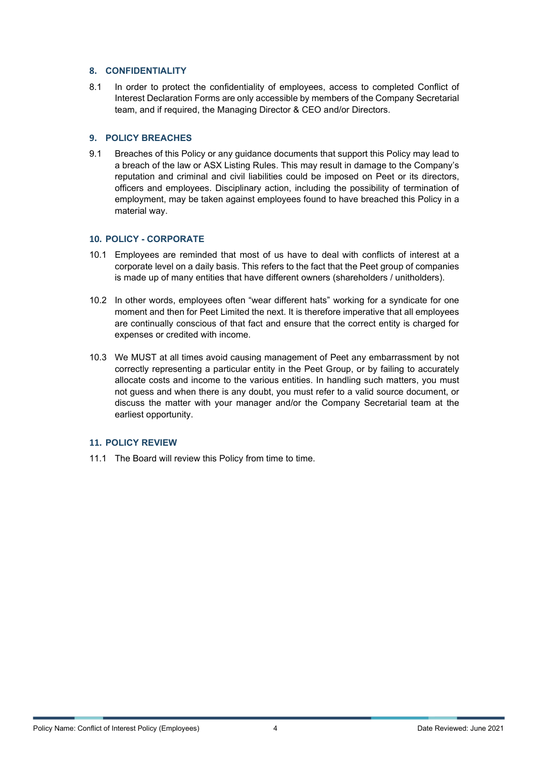#### **8. CONFIDENTIALITY**

8.1 In order to protect the confidentiality of employees, access to completed Conflict of Interest Declaration Forms are only accessible by members of the Company Secretarial team, and if required, the Managing Director & CEO and/or Directors.

#### **9. POLICY BREACHES**

9.1 Breaches of this Policy or any guidance documents that support this Policy may lead to a breach of the law or ASX Listing Rules. This may result in damage to the Company's reputation and criminal and civil liabilities could be imposed on Peet or its directors, officers and employees. Disciplinary action, including the possibility of termination of employment, may be taken against employees found to have breached this Policy in a material way.

#### **10. POLICY - CORPORATE**

- 10.1 Employees are reminded that most of us have to deal with conflicts of interest at a corporate level on a daily basis. This refers to the fact that the Peet group of companies is made up of many entities that have different owners (shareholders / unitholders).
- 10.2 In other words, employees often "wear different hats" working for a syndicate for one moment and then for Peet Limited the next. It is therefore imperative that all employees are continually conscious of that fact and ensure that the correct entity is charged for expenses or credited with income.
- 10.3 We MUST at all times avoid causing management of Peet any embarrassment by not correctly representing a particular entity in the Peet Group, or by failing to accurately allocate costs and income to the various entities. In handling such matters, you must not guess and when there is any doubt, you must refer to a valid source document, or discuss the matter with your manager and/or the Company Secretarial team at the earliest opportunity.

#### **11. POLICY REVIEW**

11.1 The Board will review this Policy from time to time.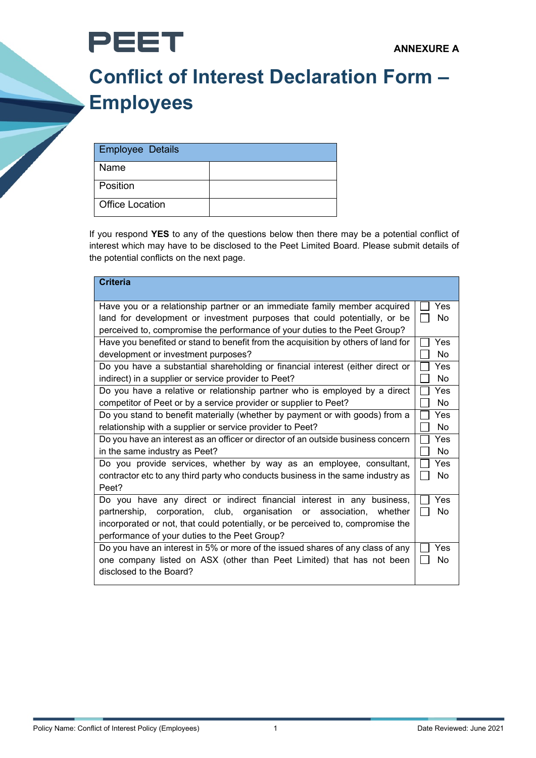



## **Conflict of Interest Declaration Form – Employees**

| <b>Employee Details</b> |  |
|-------------------------|--|
| l Name                  |  |
| l Position              |  |
| Office Location         |  |

**PEET** 

If you respond **YES** to any of the questions below then there may be a potential conflict of interest which may have to be disclosed to the Peet Limited Board. Please submit details of the potential conflicts on the next page.

| <b>Criteria</b>                                                                   |           |  |
|-----------------------------------------------------------------------------------|-----------|--|
| Have you or a relationship partner or an immediate family member acquired         |           |  |
| land for development or investment purposes that could potentially, or be         |           |  |
| perceived to, compromise the performance of your duties to the Peet Group?        |           |  |
| Have you benefited or stand to benefit from the acquisition by others of land for |           |  |
| development or investment purposes?                                               |           |  |
| Do you have a substantial shareholding or financial interest (either direct or    |           |  |
| indirect) in a supplier or service provider to Peet?                              |           |  |
| Do you have a relative or relationship partner who is employed by a direct        |           |  |
| competitor of Peet or by a service provider or supplier to Peet?                  |           |  |
| Do you stand to benefit materially (whether by payment or with goods) from a      |           |  |
| relationship with a supplier or service provider to Peet?                         |           |  |
| Do you have an interest as an officer or director of an outside business concern  |           |  |
| in the same industry as Peet?                                                     |           |  |
| Do you provide services, whether by way as an employee, consultant,               |           |  |
| contractor etc to any third party who conducts business in the same industry as   |           |  |
| Peet?                                                                             |           |  |
| Do you have any direct or indirect financial interest in any business,            | Yes       |  |
| partnership, corporation, club, organisation or association, whether              | <b>No</b> |  |
| incorporated or not, that could potentially, or be perceived to, compromise the   |           |  |
| performance of your duties to the Peet Group?                                     |           |  |
| Do you have an interest in 5% or more of the issued shares of any class of any    |           |  |
| one company listed on ASX (other than Peet Limited) that has not been             |           |  |
| disclosed to the Board?                                                           |           |  |